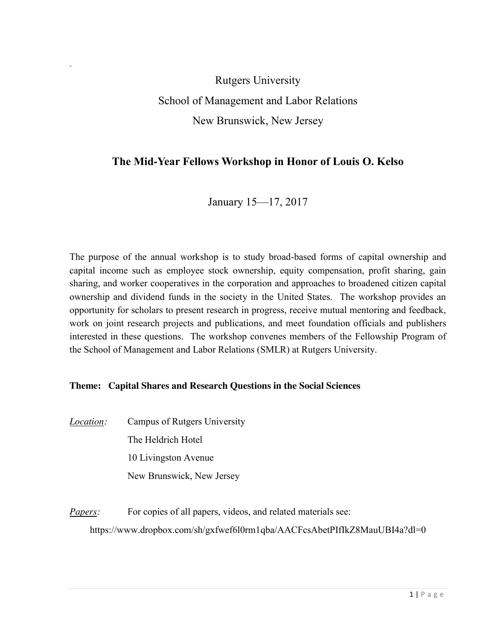Rutgers University School of Management and Labor Relations New Brunswick, New Jersey

# **The Mid-Year Fellows Workshop in Honor of Louis O. Kelso**

January 15—17, 2017

The purpose of the annual workshop is to study broad-based forms of capital ownership and capital income such as employee stock ownership, equity compensation, profit sharing, gain sharing, and worker cooperatives in the corporation and approaches to broadened citizen capital ownership and dividend funds in the society in the United States. The workshop provides an opportunity for scholars to present research in progress, receive mutual mentoring and feedback, work on joint research projects and publications, and meet foundation officials and publishers interested in these questions. The workshop convenes members of the Fellowship Program of the School of Management and Labor Relations (SMLR) at Rutgers University.

## **Theme: Capital Shares and Research Questions in the Social Sciences**

*Location:* Campus of Rutgers University The Heldrich Hotel 10 Livingston Avenue New Brunswick, New Jersey

*Papers:* For copies of all papers, videos, and related materials see: https://www.dropbox.com/sh/gxfwef6l0rm1qba/AACFcsAbetPIfIkZ8MauUBI4a?dl=0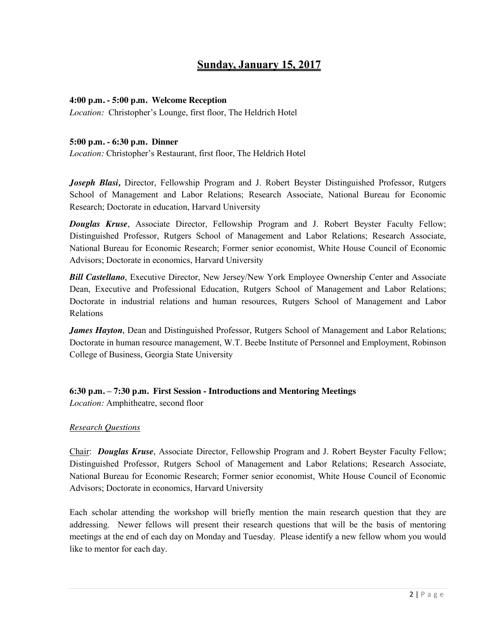# **Sunday, January 15, 2017**

#### **4:00 p.m. - 5:00 p.m. Welcome Reception**

*Location:* Christopher's Lounge, first floor, The Heldrich Hotel

#### **5:00 p.m. - 6:30 p.m. Dinner**

*Location:* Christopher's Restaurant, first floor, The Heldrich Hotel

*Joseph Blasi,* Director, Fellowship Program and J. Robert Beyster Distinguished Professor, Rutgers School of Management and Labor Relations; Research Associate, National Bureau for Economic Research; Doctorate in education, Harvard University

*Douglas Kruse*, Associate Director, Fellowship Program and J. Robert Beyster Faculty Fellow; Distinguished Professor, Rutgers School of Management and Labor Relations; Research Associate, National Bureau for Economic Research; Former senior economist, White House Council of Economic Advisors; Doctorate in economics, Harvard University

*Bill Castellano*, Executive Director, New Jersey/New York Employee Ownership Center and Associate Dean, Executive and Professional Education, Rutgers School of Management and Labor Relations; Doctorate in industrial relations and human resources, Rutgers School of Management and Labor Relations

*James Hayton*, Dean and Distinguished Professor, Rutgers School of Management and Labor Relations; Doctorate in human resource management, W.T. Beebe Institute of Personnel and Employment, Robinson College of Business, Georgia State University

**6:30 p.m. – 7:30 p.m. First Session - Introductions and Mentoring Meetings** 

*Location:* Amphitheatre, second floor

## *Research Questions*

Chair: *Douglas Kruse*, Associate Director, Fellowship Program and J. Robert Beyster Faculty Fellow; Distinguished Professor, Rutgers School of Management and Labor Relations; Research Associate, National Bureau for Economic Research; Former senior economist, White House Council of Economic Advisors; Doctorate in economics, Harvard University

Each scholar attending the workshop will briefly mention the main research question that they are addressing. Newer fellows will present their research questions that will be the basis of mentoring meetings at the end of each day on Monday and Tuesday. Please identify a new fellow whom you would like to mentor for each day.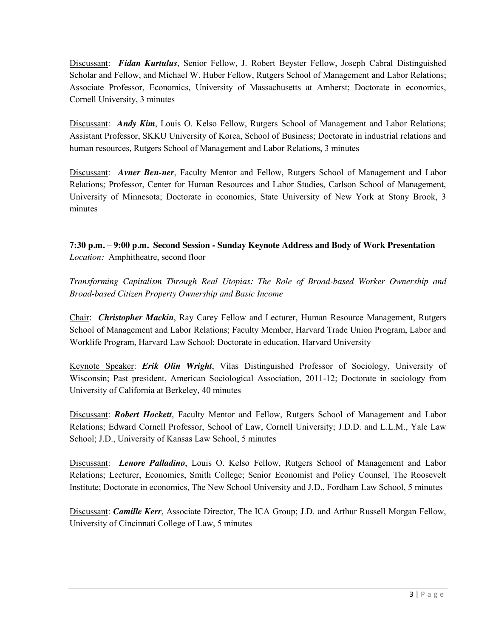Discussant: *Fidan Kurtulus*, Senior Fellow, J. Robert Beyster Fellow, Joseph Cabral Distinguished Scholar and Fellow, and Michael W. Huber Fellow, Rutgers School of Management and Labor Relations; Associate Professor, Economics, University of Massachusetts at Amherst; Doctorate in economics, Cornell University, 3 minutes

Discussant: *Andy Kim*, Louis O. Kelso Fellow, Rutgers School of Management and Labor Relations; Assistant Professor, SKKU University of Korea, School of Business; Doctorate in industrial relations and human resources, Rutgers School of Management and Labor Relations, 3 minutes

Discussant: *Avner Ben-ner*, Faculty Mentor and Fellow, Rutgers School of Management and Labor Relations; Professor, Center for Human Resources and Labor Studies, Carlson School of Management, University of Minnesota; Doctorate in economics, State University of New York at Stony Brook, 3 minutes

**7:30 p.m. – 9:00 p.m. Second Session - Sunday Keynote Address and Body of Work Presentation**  *Location:* Amphitheatre, second floor

*Transforming Capitalism Through Real Utopias: The Role of Broad-based Worker Ownership and Broad-based Citizen Property Ownership and Basic Income* 

Chair: *Christopher Mackin*, Ray Carey Fellow and Lecturer, Human Resource Management, Rutgers School of Management and Labor Relations; Faculty Member, Harvard Trade Union Program, Labor and Worklife Program, Harvard Law School; Doctorate in education, Harvard University

Keynote Speaker: *Erik Olin Wright*, Vilas Distinguished Professor of Sociology, University of Wisconsin; Past president, American Sociological Association, 2011-12; Doctorate in sociology from University of California at Berkeley, 40 minutes

Discussant: *Robert Hockett*, Faculty Mentor and Fellow, Rutgers School of Management and Labor Relations; Edward Cornell Professor, School of Law, Cornell University; J.D.D. and L.L.M., Yale Law School; J.D., University of Kansas Law School, 5 minutes

Discussant: *Lenore Palladino*, Louis O. Kelso Fellow, Rutgers School of Management and Labor Relations; Lecturer, Economics, Smith College; Senior Economist and Policy Counsel, The Roosevelt Institute; Doctorate in economics, The New School University and J.D., Fordham Law School, 5 minutes

Discussant: *Camille Kerr*, Associate Director, The ICA Group; J.D. and Arthur Russell Morgan Fellow, University of Cincinnati College of Law, 5 minutes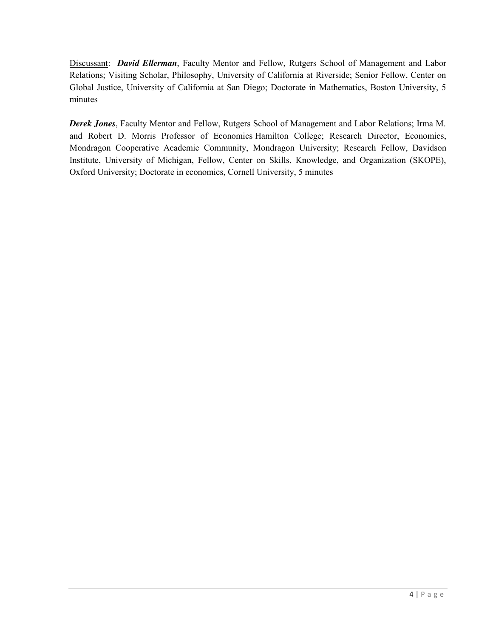Discussant: *David Ellerman*, Faculty Mentor and Fellow, Rutgers School of Management and Labor Relations; Visiting Scholar, Philosophy, University of California at Riverside; Senior Fellow, Center on Global Justice, University of California at San Diego; Doctorate in Mathematics, Boston University, 5 minutes

*Derek Jones*, Faculty Mentor and Fellow, Rutgers School of Management and Labor Relations; Irma M. and Robert D. Morris Professor of Economics Hamilton College; Research Director, Economics, Mondragon Cooperative Academic Community, Mondragon University; Research Fellow, Davidson Institute, University of Michigan, Fellow, Center on Skills, Knowledge, and Organization (SKOPE), Oxford University; Doctorate in economics, Cornell University, 5 minutes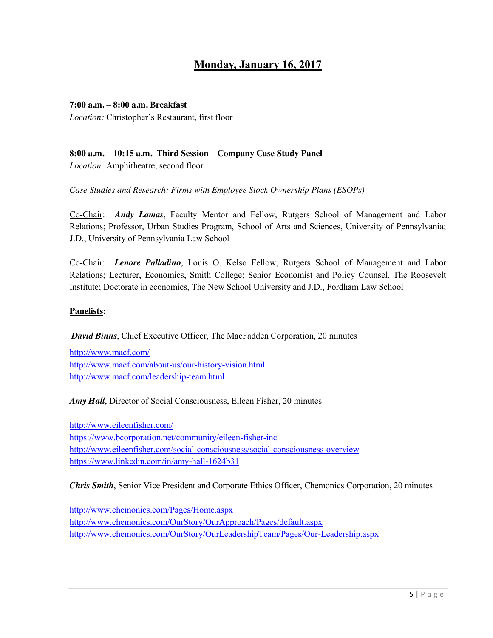# **Monday, January 16, 2017**

#### **7:00 a.m. – 8:00 a.m. Breakfast**

*Location:* Christopher's Restaurant, first floor

## **8:00 a.m. – 10:15 a.m. Third Session – Company Case Study Panel**

*Location:* Amphitheatre, second floor

*Case Studies and Research: Firms with Employee Stock Ownership Plans (ESOPs)*

Co-Chair: *Andy Lamas*, Faculty Mentor and Fellow, Rutgers School of Management and Labor Relations; Professor, Urban Studies Program, School of Arts and Sciences, University of Pennsylvania; J.D., University of Pennsylvania Law School

Co-Chair: *Lenore Palladino*, Louis O. Kelso Fellow, Rutgers School of Management and Labor Relations; Lecturer, Economics, Smith College; Senior Economist and Policy Counsel, The Roosevelt Institute; Doctorate in economics, The New School University and J.D., Fordham Law School

#### **Panelists:**

## *David Binns*, Chief Executive Officer, The MacFadden Corporation, 20 minutes

<http://www.macf.com/> <http://www.macf.com/about-us/our-history-vision.html> <http://www.macf.com/leadership-team.html>

*Amy Hall*, Director of Social Consciousness, Eileen Fisher, 20 minutes

<http://www.eileenfisher.com/> <https://www.bcorporation.net/community/eileen-fisher-inc> <http://www.eileenfisher.com/social-consciousness/social-consciousness-overview> <https://www.linkedin.com/in/amy-hall-1624b31>

*Chris Smith*, Senior Vice President and Corporate Ethics Officer, Chemonics Corporation, 20 minutes

<http://www.chemonics.com/Pages/Home.aspx> <http://www.chemonics.com/OurStory/OurApproach/Pages/default.aspx> <http://www.chemonics.com/OurStory/OurLeadershipTeam/Pages/Our-Leadership.aspx>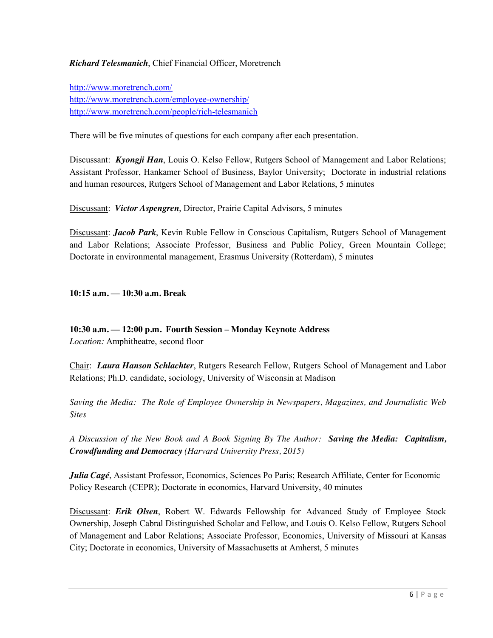### *Richard Telesmanich*, Chief Financial Officer, Moretrench

<http://www.moretrench.com/> <http://www.moretrench.com/employee-ownership/> <http://www.moretrench.com/people/rich-telesmanich>

There will be five minutes of questions for each company after each presentation.

Discussant: *Kyongji Han*, Louis O. Kelso Fellow, Rutgers School of Management and Labor Relations; Assistant Professor, Hankamer School of Business, Baylor University; Doctorate in industrial relations and human resources, Rutgers School of Management and Labor Relations, 5 minutes

Discussant: *Victor Aspengren*, Director, Prairie Capital Advisors, 5 minutes

Discussant: *Jacob Park*, Kevin Ruble Fellow in Conscious Capitalism, Rutgers School of Management and Labor Relations; Associate Professor, Business and Public Policy, Green Mountain College; Doctorate in environmental management, Erasmus University (Rotterdam), 5 minutes

**10:15 a.m. — 10:30 a.m. Break**

#### **10:30 a.m. — 12:00 p.m. Fourth Session – Monday Keynote Address**

*Location:* Amphitheatre, second floor

Chair: *Laura Hanson Schlachter*, Rutgers Research Fellow, Rutgers School of Management and Labor Relations; Ph.D. candidate, sociology, University of Wisconsin at Madison

*Saving the Media: The Role of Employee Ownership in Newspapers, Magazines, and Journalistic Web Sites* 

*A Discussion of the New Book and A Book Signing By The Author: Saving the Media: Capitalism, Crowdfunding and Democracy (Harvard University Press, 2015)*

*Julia Cagé*, Assistant Professor, Economics, Sciences Po Paris; Research Affiliate, Center for Economic Policy Research (CEPR); Doctorate in economics, Harvard University, 40 minutes

Discussant: *Erik Olsen*, Robert W. Edwards Fellowship for Advanced Study of Employee Stock Ownership, Joseph Cabral Distinguished Scholar and Fellow, and Louis O. Kelso Fellow, Rutgers School of Management and Labor Relations; Associate Professor, Economics, University of Missouri at Kansas City; Doctorate in economics, University of Massachusetts at Amherst, 5 minutes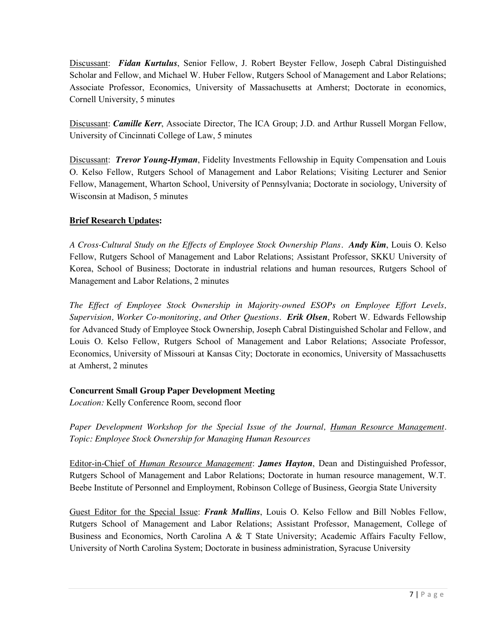Discussant: *Fidan Kurtulus*, Senior Fellow, J. Robert Beyster Fellow, Joseph Cabral Distinguished Scholar and Fellow, and Michael W. Huber Fellow, Rutgers School of Management and Labor Relations; Associate Professor, Economics, University of Massachusetts at Amherst; Doctorate in economics, Cornell University, 5 minutes

Discussant: *Camille Kerr*, Associate Director, The ICA Group; J.D. and Arthur Russell Morgan Fellow, University of Cincinnati College of Law, 5 minutes

Discussant: *Trevor Young-Hyman*, Fidelity Investments Fellowship in Equity Compensation and Louis O. Kelso Fellow, Rutgers School of Management and Labor Relations; Visiting Lecturer and Senior Fellow, Management, Wharton School, University of Pennsylvania; Doctorate in sociology, University of Wisconsin at Madison, 5 minutes

## **Brief Research Updates:**

*A Cross-Cultural Study on the Effects of Employee Stock Ownership Plans. Andy Kim*, Louis O. Kelso Fellow, Rutgers School of Management and Labor Relations; Assistant Professor, SKKU University of Korea, School of Business; Doctorate in industrial relations and human resources, Rutgers School of Management and Labor Relations, 2 minutes

*The Effect of Employee Stock Ownership in Majority-owned ESOPs on Employee Effort Levels, Supervision, Worker Co-monitoring, and Other Questions. Erik Olsen*, Robert W. Edwards Fellowship for Advanced Study of Employee Stock Ownership, Joseph Cabral Distinguished Scholar and Fellow, and Louis O. Kelso Fellow, Rutgers School of Management and Labor Relations; Associate Professor, Economics, University of Missouri at Kansas City; Doctorate in economics, University of Massachusetts at Amherst, 2 minutes

## **Concurrent Small Group Paper Development Meeting**

*Location:* Kelly Conference Room, second floor

*Paper Development Workshop for the Special Issue of the Journal, Human Resource Management. Topic: Employee Stock Ownership for Managing Human Resources*

Editor-in-Chief of *Human Resource Management*: *James Hayton*, Dean and Distinguished Professor, Rutgers School of Management and Labor Relations; Doctorate in human resource management, W.T. Beebe Institute of Personnel and Employment, Robinson College of Business, Georgia State University

Guest Editor for the Special Issue: *Frank Mullins*, Louis O. Kelso Fellow and Bill Nobles Fellow, Rutgers School of Management and Labor Relations; Assistant Professor, Management, College of Business and Economics, North Carolina A & T State University; Academic Affairs Faculty Fellow, University of North Carolina System; Doctorate in business administration, Syracuse University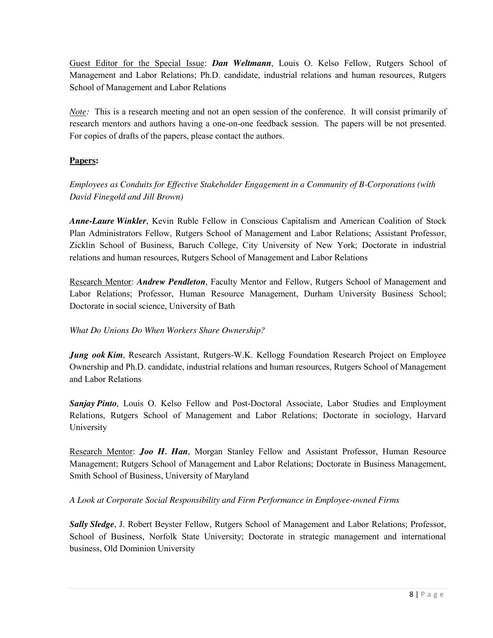Guest Editor for the Special Issue: *Dan Weltmann*, Louis O. Kelso Fellow, Rutgers School of Management and Labor Relations; Ph.D. candidate, industrial relations and human resources, Rutgers School of Management and Labor Relations

*Note:* This is a research meeting and not an open session of the conference. It will consist primarily of research mentors and authors having a one-on-one feedback session. The papers will be not presented. For copies of drafts of the papers, please contact the authors.

## **Papers:**

*Employees as Conduits for Effective Stakeholder Engagement in a Community of B-Corporations (with David Finegold and Jill Brown)*

*Anne-Laure Winkler*, Kevin Ruble Fellow in Conscious Capitalism and American Coalition of Stock Plan Administrators Fellow, Rutgers School of Management and Labor Relations; Assistant Professor, Zicklin School of Business, Baruch College, City University of New York; Doctorate in industrial relations and human resources, Rutgers School of Management and Labor Relations

Research Mentor: *Andrew Pendleton*, Faculty Mentor and Fellow, Rutgers School of Management and Labor Relations; Professor, Human Resource Management, Durham University Business School; Doctorate in social science, University of Bath

## *What Do Unions Do When Workers Share Ownership?*

*Jung ook Kim*, Research Assistant, Rutgers-W.K. Kellogg Foundation Research Project on Employee Ownership and Ph.D. candidate, industrial relations and human resources, Rutgers School of Management and Labor Relations

*Sanjay Pinto*, Louis O. Kelso Fellow and Post-Doctoral Associate, Labor Studies and Employment Relations, Rutgers School of Management and Labor Relations; Doctorate in sociology, Harvard University

Research Mentor: *Joo H. Han*, Morgan Stanley Fellow and Assistant Professor, Human Resource Management; Rutgers School of Management and Labor Relations; Doctorate in Business Management, Smith School of Business, University of Maryland

*A Look at Corporate Social Responsibility and Firm Performance in Employee-owned Firms* 

*Sally Sledge*, J. Robert Beyster Fellow, Rutgers School of Management and Labor Relations; Professor, School of Business, Norfolk State University; Doctorate in strategic management and international business, Old Dominion University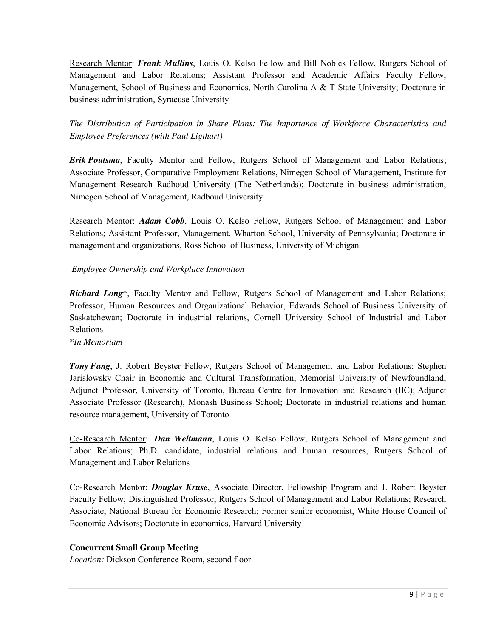Research Mentor: *Frank Mullins*, Louis O. Kelso Fellow and Bill Nobles Fellow, Rutgers School of Management and Labor Relations; Assistant Professor and Academic Affairs Faculty Fellow, Management, School of Business and Economics, North Carolina A & T State University; Doctorate in business administration, Syracuse University

*The Distribution of Participation in Share Plans: The Importance of Workforce Characteristics and Employee Preferences (with Paul Ligthart)* 

*Erik Poutsma*, Faculty Mentor and Fellow, Rutgers School of Management and Labor Relations; Associate Professor, Comparative Employment Relations, Nimegen School of Management, Institute for Management Research Radboud University (The Netherlands); Doctorate in business administration, Nimegen School of Management, Radboud University

Research Mentor: *Adam Cobb*, Louis O. Kelso Fellow, Rutgers School of Management and Labor Relations; Assistant Professor, Management, Wharton School, University of Pennsylvania; Doctorate in management and organizations, Ross School of Business, University of Michigan

## *Employee Ownership and Workplace Innovation*

*Richard Long*\*, Faculty Mentor and Fellow, Rutgers School of Management and Labor Relations; Professor, Human Resources and Organizational Behavior, Edwards School of Business University of Saskatchewan; Doctorate in industrial relations, Cornell University School of Industrial and Labor Relations

*\*In Memoriam*

*Tony Fang*, J. Robert Beyster Fellow, Rutgers School of Management and Labor Relations; Stephen Jarislowsky Chair in Economic and Cultural Transformation, Memorial University of Newfoundland; Adjunct Professor, University of Toronto, Bureau Centre for Innovation and Research (IIC); Adjunct Associate Professor (Research), Monash Business School; Doctorate in industrial relations and human resource management, University of Toronto

Co-Research Mentor: *Dan Weltmann*, Louis O. Kelso Fellow, Rutgers School of Management and Labor Relations; Ph.D. candidate, industrial relations and human resources, Rutgers School of Management and Labor Relations

Co-Research Mentor: *Douglas Kruse*, Associate Director, Fellowship Program and J. Robert Beyster Faculty Fellow; Distinguished Professor, Rutgers School of Management and Labor Relations; Research Associate, National Bureau for Economic Research; Former senior economist, White House Council of Economic Advisors; Doctorate in economics, Harvard University

#### **Concurrent Small Group Meeting**

*Location:* Dickson Conference Room, second floor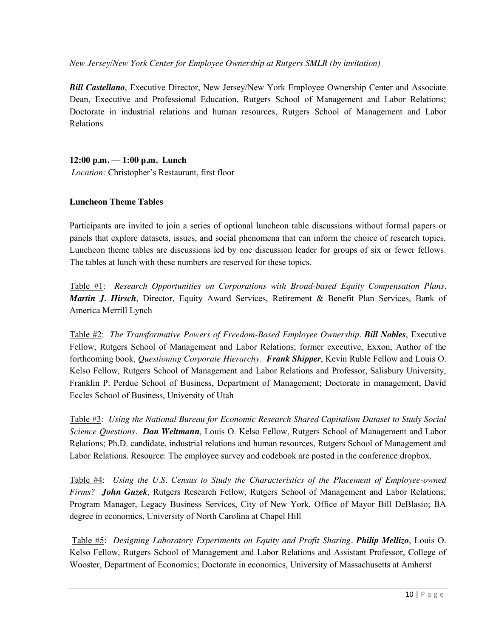*New Jersey/New York Center for Employee Ownership at Rutgers SMLR (by invitation)*

*Bill Castellano*, Executive Director, New Jersey/New York Employee Ownership Center and Associate Dean, Executive and Professional Education, Rutgers School of Management and Labor Relations; Doctorate in industrial relations and human resources, Rutgers School of Management and Labor Relations

## **12:00 p.m. — 1:00 p.m. Lunch**

*Location:* Christopher's Restaurant, first floor

#### **Luncheon Theme Tables**

Participants are invited to join a series of optional luncheon table discussions without formal papers or panels that explore datasets, issues, and social phenomena that can inform the choice of research topics. Luncheon theme tables are discussions led by one discussion leader for groups of six or fewer fellows. The tables at lunch with these numbers are reserved for these topics.

Table #1: *Research Opportunities on Corporations with Broad-based Equity Compensation Plans. Martin J. Hirsch*, Director, Equity Award Services, Retirement & Benefit Plan Services, Bank of America Merrill Lynch

Table #2: *The Transformative Powers of Freedom-Based Employee Ownership. Bill Nobles*, Executive Fellow, Rutgers School of Management and Labor Relations; former executive, Exxon; Author of the forthcoming book, *Questioning Corporate Hierarchy. Frank Shipper*, Kevin Ruble Fellow and Louis O. Kelso Fellow, Rutgers School of Management and Labor Relations and Professor, Salisbury University, Franklin P. Perdue School of Business, Department of Management; Doctorate in management, David Eccles School of Business, University of Utah

Table #3: *Using the National Bureau for Economic Research Shared Capitalism Dataset to Study Social Science Questions. Dan Weltmann*, Louis O. Kelso Fellow, Rutgers School of Management and Labor Relations; Ph.D. candidate, industrial relations and human resources, Rutgers School of Management and Labor Relations. Resource: The employee survey and codebook are posted in the conference dropbox.

Table #4: *Using the U.S. Census to Study the Characteristics of the Placement of Employee-owned Firms? John Guzek*, Rutgers Research Fellow, Rutgers School of Management and Labor Relations; Program Manager, Legacy Business Services, City of New York, Office of Mayor Bill DeBlasio; BA degree in economics, University of North Carolina at Chapel Hill

Table #5: *Designing Laboratory Experiments on Equity and Profit Sharing. Philip Mellizo*, Louis O. Kelso Fellow, Rutgers School of Management and Labor Relations and Assistant Professor, College of Wooster, Department of Economics; Doctorate in economics, University of Massachusetts at Amherst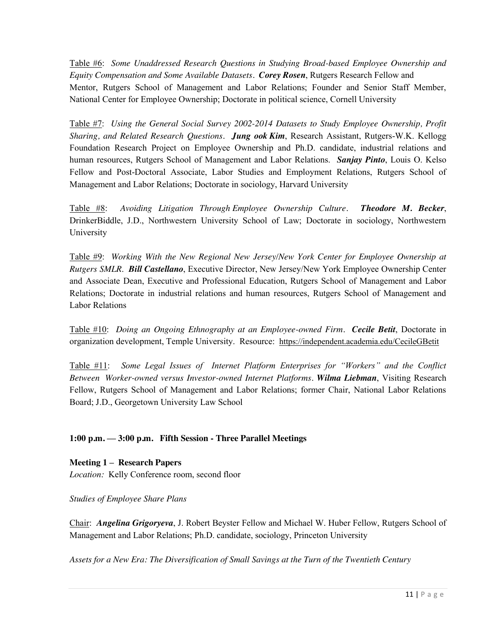Table #6: *Some Unaddressed Research Questions in Studying Broad-based Employee Ownership and Equity Compensation and Some Available Datasets. Corey Rosen*, Rutgers Research Fellow and Mentor, Rutgers School of Management and Labor Relations; Founder and Senior Staff Member, National Center for Employee Ownership; Doctorate in political science, Cornell University

Table #7: *Using the General Social Survey 2002-2014 Datasets to Study Employee Ownership, Profit Sharing, and Related Research Questions. Jung ook Kim*, Research Assistant, Rutgers-W.K. Kellogg Foundation Research Project on Employee Ownership and Ph.D. candidate, industrial relations and human resources, Rutgers School of Management and Labor Relations. *Sanjay Pinto*, Louis O. Kelso Fellow and Post-Doctoral Associate, Labor Studies and Employment Relations, Rutgers School of Management and Labor Relations; Doctorate in sociology, Harvard University

Table #8: *Avoiding Litigation Through Employee Ownership Culture. Theodore M. Becker*, DrinkerBiddle, J.D., Northwestern University School of Law; Doctorate in sociology, Northwestern University

Table #9: *Working With the New Regional New Jersey/New York Center for Employee Ownership at Rutgers SMLR*. *Bill Castellano*, Executive Director, New Jersey/New York Employee Ownership Center and Associate Dean, Executive and Professional Education, Rutgers School of Management and Labor Relations; Doctorate in industrial relations and human resources, Rutgers School of Management and Labor Relations

Table #10: *Doing an Ongoing Ethnography at an Employee-owned Firm. Cecile Betit*, Doctorate in organization development, Temple University. Resource: https://independent.academia.edu/CecileGBetit

Table #11: *Some Legal Issues of Internet Platform Enterprises for "Workers" and the Conflict Between Worker-owned versus Investor-owned Internet Platforms. Wilma Liebman*, Visiting Research Fellow, Rutgers School of Management and Labor Relations; former Chair, National Labor Relations Board; J.D., Georgetown University Law School

## **1:00 p.m. — 3:00 p.m. Fifth Session - Three Parallel Meetings**

**Meeting 1 – Research Papers** *Location:* Kelly Conference room, second floor

*Studies of Employee Share Plans*

Chair: *Angelina Grigoryeva*, J. Robert Beyster Fellow and Michael W. Huber Fellow, Rutgers School of Management and Labor Relations; Ph.D. candidate, sociology, Princeton University

*Assets for a New Era: The Diversification of Small Savings at the Turn of the Twentieth Century*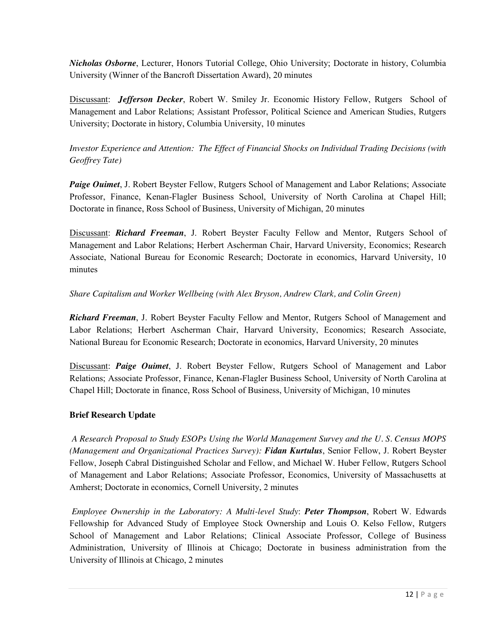*Nicholas Osborne*, Lecturer, Honors Tutorial College, Ohio University; Doctorate in history, Columbia University (Winner of the Bancroft Dissertation Award), 20 minutes

Discussant: *Jefferson Decker*, Robert W. Smiley Jr. Economic History Fellow, Rutgers School of Management and Labor Relations; Assistant Professor, Political Science and American Studies, Rutgers University; Doctorate in history, Columbia University, 10 minutes

## *Investor Experience and Attention: The Effect of Financial Shocks on Individual Trading Decisions (with Geoffrey Tate)*

*Paige Ouimet*, J. Robert Beyster Fellow, Rutgers School of Management and Labor Relations; Associate Professor, Finance, Kenan-Flagler Business School, University of North Carolina at Chapel Hill; Doctorate in finance, Ross School of Business, University of Michigan, 20 minutes

Discussant: *Richard Freeman*, J. Robert Beyster Faculty Fellow and Mentor, Rutgers School of Management and Labor Relations; Herbert Ascherman Chair, Harvard University, Economics; Research Associate, National Bureau for Economic Research; Doctorate in economics, Harvard University, 10 minutes

## *Share Capitalism and Worker Wellbeing (with Alex Bryson, Andrew Clark, and Colin Green)*

*Richard Freeman*, J. Robert Beyster Faculty Fellow and Mentor, Rutgers School of Management and Labor Relations; Herbert Ascherman Chair, Harvard University, Economics; Research Associate, National Bureau for Economic Research; Doctorate in economics, Harvard University, 20 minutes

Discussant: *Paige Ouimet*, J. Robert Beyster Fellow, Rutgers School of Management and Labor Relations; Associate Professor, Finance, Kenan-Flagler Business School, University of North Carolina at Chapel Hill; Doctorate in finance, Ross School of Business, University of Michigan, 10 minutes

## **Brief Research Update**

*A Research Proposal to Study ESOPs Using the World Management Survey and the U. S. Census MOPS (Management and Organizational Practices Survey): Fidan Kurtulus*, Senior Fellow, J. Robert Beyster Fellow, Joseph Cabral Distinguished Scholar and Fellow, and Michael W. Huber Fellow, Rutgers School of Management and Labor Relations; Associate Professor, Economics, University of Massachusetts at Amherst; Doctorate in economics, Cornell University, 2 minutes

*Employee Ownership in the Laboratory: A Multi-level Study*: *Peter Thompson*, Robert W. Edwards Fellowship for Advanced Study of Employee Stock Ownership and Louis O. Kelso Fellow, Rutgers School of Management and Labor Relations; Clinical Associate Professor, College of Business Administration, University of Illinois at Chicago; Doctorate in business administration from the University of Illinois at Chicago, 2 minutes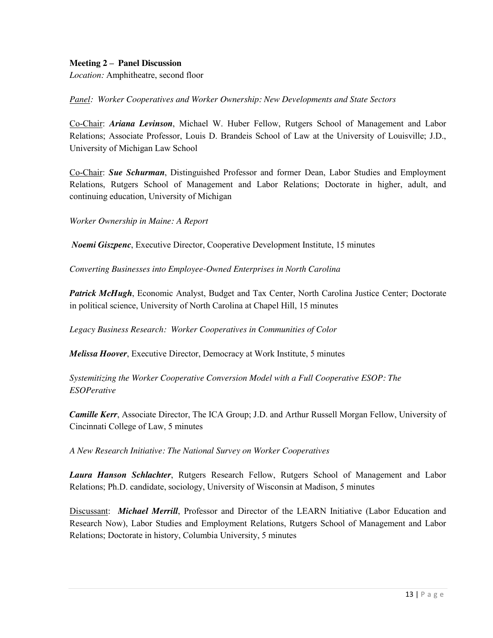#### **Meeting 2 – Panel Discussion**

*Location:* Amphitheatre, second floor

*Panel: Worker Cooperatives and Worker Ownership: New Developments and State Sectors*

Co-Chair: *Ariana Levinson*, Michael W. Huber Fellow, Rutgers School of Management and Labor Relations; Associate Professor, Louis D. Brandeis School of Law at the University of Louisville; J.D., University of Michigan Law School

Co-Chair: *Sue Schurman*, Distinguished Professor and former Dean, Labor Studies and Employment Relations, Rutgers School of Management and Labor Relations; Doctorate in higher, adult, and continuing education, University of Michigan

*Worker Ownership in Maine: A Report*

*Noemi Giszpenc*, Executive Director, Cooperative Development Institute, 15 minutes

*Converting Businesses into Employee-Owned Enterprises in North Carolina*

*Patrick McHugh*, Economic Analyst, Budget and Tax Center, North Carolina Justice Center; Doctorate in political science, University of North Carolina at Chapel Hill, 15 minutes

*Legacy Business Research: Worker Cooperatives in Communities of Color* 

*Melissa Hoover*, Executive Director, Democracy at Work Institute, 5 minutes

*Systemitizing the Worker Cooperative Conversion Model with a Full Cooperative ESOP: The ESOPerative*

*Camille Kerr*, Associate Director, The ICA Group; J.D. and Arthur Russell Morgan Fellow, University of Cincinnati College of Law, 5 minutes

*A New Research Initiative: The National Survey on Worker Cooperatives*

*Laura Hanson Schlachter*, Rutgers Research Fellow, Rutgers School of Management and Labor Relations; Ph.D. candidate, sociology, University of Wisconsin at Madison, 5 minutes

Discussant: *Michael Merrill*, Professor and Director of the LEARN Initiative (Labor Education and Research Now), Labor Studies and Employment Relations, Rutgers School of Management and Labor Relations; Doctorate in history, Columbia University, 5 minutes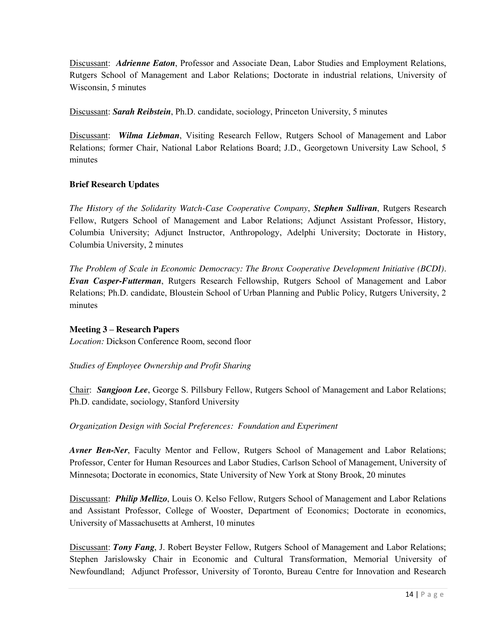Discussant: *Adrienne Eaton*, Professor and Associate Dean, Labor Studies and Employment Relations, Rutgers School of Management and Labor Relations; Doctorate in industrial relations, University of Wisconsin, 5 minutes

Discussant: *Sarah Reibstein*, Ph.D. candidate, sociology, Princeton University, 5 minutes

Discussant: *Wilma Liebman*, Visiting Research Fellow, Rutgers School of Management and Labor Relations; former Chair, National Labor Relations Board; J.D., Georgetown University Law School, 5 minutes

## **Brief Research Updates**

*The History of the Solidarity Watch-Case Cooperative Company*, *Stephen Sullivan*, Rutgers Research Fellow, Rutgers School of Management and Labor Relations; Adjunct Assistant Professor, History, Columbia University; Adjunct Instructor, Anthropology, Adelphi University; Doctorate in History, Columbia University, 2 minutes

*The Problem of Scale in Economic Democracy: The Bronx Cooperative Development Initiative (BCDI). Evan Casper-Futterman*, Rutgers Research Fellowship, Rutgers School of Management and Labor Relations; Ph.D. candidate, Bloustein School of Urban Planning and Public Policy, Rutgers University, 2 minutes

## **Meeting 3 – Research Papers**

*Location:* Dickson Conference Room, second floor

*Studies of Employee Ownership and Profit Sharing*

Chair: *Sangjoon Lee*, George S. Pillsbury Fellow, Rutgers School of Management and Labor Relations; Ph.D. candidate, sociology, Stanford University

*Organization Design with Social Preferences: Foundation and Experiment*

*Avner Ben-Ner*, Faculty Mentor and Fellow, Rutgers School of Management and Labor Relations; Professor, Center for Human Resources and Labor Studies, Carlson School of Management, University of Minnesota; Doctorate in economics, State University of New York at Stony Brook, 20 minutes

Discussant: *Philip Mellizo*, Louis O. Kelso Fellow, Rutgers School of Management and Labor Relations and Assistant Professor, College of Wooster, Department of Economics; Doctorate in economics, University of Massachusetts at Amherst, 10 minutes

Discussant: *Tony Fang*, J. Robert Beyster Fellow, Rutgers School of Management and Labor Relations; Stephen Jarislowsky Chair in Economic and Cultural Transformation, Memorial University of Newfoundland; Adjunct Professor, University of Toronto, Bureau Centre for Innovation and Research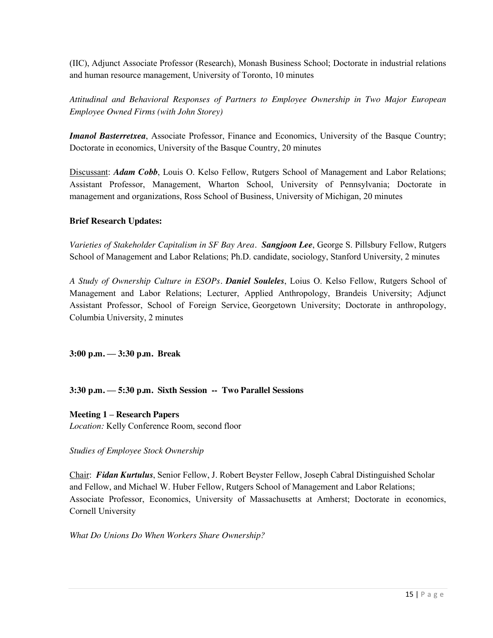(IIC), Adjunct Associate Professor (Research), Monash Business School; Doctorate in industrial relations and human resource management, University of Toronto, 10 minutes

*Attitudinal and Behavioral Responses of Partners to Employee Ownership in Two Major European Employee Owned Firms (with John Storey)*

*Imanol Basterretxea*, Associate Professor, Finance and Economics, University of the Basque Country; Doctorate in economics, University of the Basque Country, 20 minutes

Discussant: *Adam Cobb*, Louis O. Kelso Fellow, Rutgers School of Management and Labor Relations; Assistant Professor, Management, Wharton School, University of Pennsylvania; Doctorate in management and organizations, Ross School of Business, University of Michigan, 20 minutes

#### **Brief Research Updates:**

*Varieties of Stakeholder Capitalism in SF Bay Area. Sangjoon Lee*, George S. Pillsbury Fellow, Rutgers School of Management and Labor Relations; Ph.D. candidate, sociology, Stanford University, 2 minutes

*A Study of Ownership Culture in ESOPs. Daniel Souleles*, Loius O. Kelso Fellow, Rutgers School of Management and Labor Relations; Lecturer, Applied Anthropology, Brandeis University; Adjunct Assistant Professor, School of Foreign Service, Georgetown University; Doctorate in anthropology, Columbia University, 2 minutes

**3:00 p.m. — 3:30 p.m. Break**

**3:30 p.m. — 5:30 p.m. Sixth Session -- Two Parallel Sessions**

**Meeting 1 – Research Papers** *Location:* Kelly Conference Room, second floor

*Studies of Employee Stock Ownership*

Chair: *Fidan Kurtulus*, Senior Fellow, J. Robert Beyster Fellow, Joseph Cabral Distinguished Scholar and Fellow, and Michael W. Huber Fellow, Rutgers School of Management and Labor Relations; Associate Professor, Economics, University of Massachusetts at Amherst; Doctorate in economics, Cornell University

*What Do Unions Do When Workers Share Ownership?*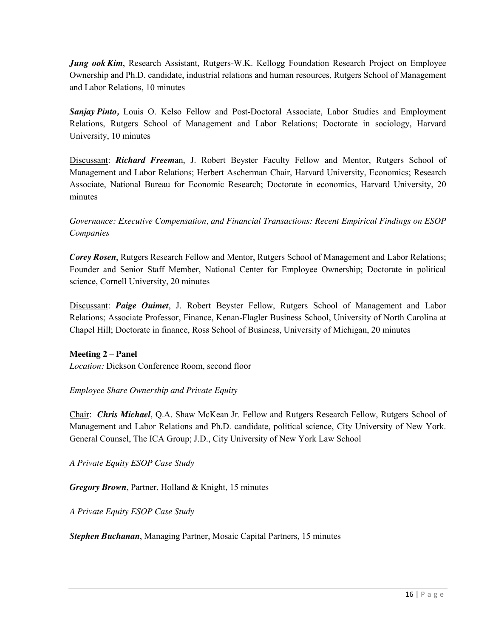*Jung ook Kim*, Research Assistant, Rutgers-W.K. Kellogg Foundation Research Project on Employee Ownership and Ph.D. candidate, industrial relations and human resources, Rutgers School of Management and Labor Relations, 10 minutes

*Sanjay Pinto,* Louis O. Kelso Fellow and Post-Doctoral Associate, Labor Studies and Employment Relations, Rutgers School of Management and Labor Relations; Doctorate in sociology, Harvard University, 10 minutes

Discussant: *Richard Freem*an, J. Robert Beyster Faculty Fellow and Mentor, Rutgers School of Management and Labor Relations; Herbert Ascherman Chair, Harvard University, Economics; Research Associate, National Bureau for Economic Research; Doctorate in economics, Harvard University, 20 minutes

*Governance: Executive Compensation, and Financial Transactions: Recent Empirical Findings on ESOP Companies*

*Corey Rosen*, Rutgers Research Fellow and Mentor, Rutgers School of Management and Labor Relations; Founder and Senior Staff Member, National Center for Employee Ownership; Doctorate in political science, Cornell University, 20 minutes

Discussant: *Paige Ouimet*, J. Robert Beyster Fellow, Rutgers School of Management and Labor Relations; Associate Professor, Finance, Kenan-Flagler Business School, University of North Carolina at Chapel Hill; Doctorate in finance, Ross School of Business, University of Michigan, 20 minutes

## **Meeting 2 – Panel**

*Location:* Dickson Conference Room, second floor

## *Employee Share Ownership and Private Equity*

Chair: *Chris Michael*, Q.A. Shaw McKean Jr. Fellow and Rutgers Research Fellow, Rutgers School of Management and Labor Relations and Ph.D. candidate, political science, City University of New York. General Counsel, The ICA Group; J.D., City University of New York Law School

*A Private Equity ESOP Case Study*

*Gregory Brown*, Partner, Holland & Knight, 15 minutes

*A Private Equity ESOP Case Study*

*Stephen Buchanan*, Managing Partner, Mosaic Capital Partners, 15 minutes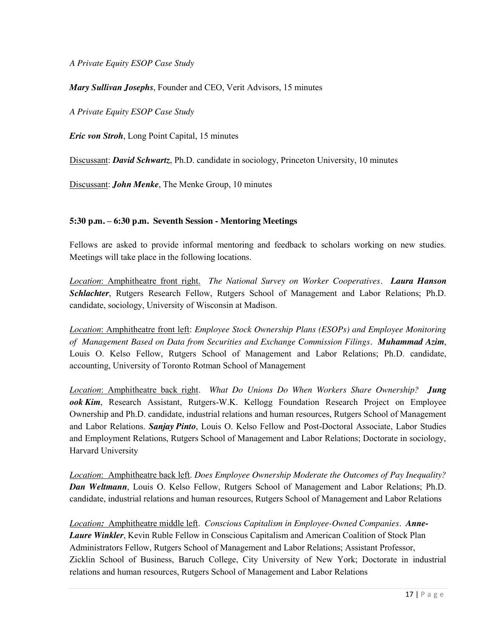*A Private Equity ESOP Case Study*

*Mary Sullivan Josephs*, Founder and CEO, Verit Advisors, 15 minutes

*A Private Equity ESOP Case Study*

*Eric von Stroh*, Long Point Capital, 15 minutes

Discussant: *David Schwartz*, Ph.D. candidate in sociology, Princeton University, 10 minutes

Discussant: *John Menke*, The Menke Group, 10 minutes

#### **5:30 p.m. – 6:30 p.m. Seventh Session - Mentoring Meetings**

Fellows are asked to provide informal mentoring and feedback to scholars working on new studies. Meetings will take place in the following locations.

*Location*: Amphitheatre front right. *The National Survey on Worker Cooperatives. Laura Hanson Schlachter*, Rutgers Research Fellow, Rutgers School of Management and Labor Relations; Ph.D. candidate, sociology, University of Wisconsin at Madison.

*Location*: Amphitheatre front left: *Employee Stock Ownership Plans (ESOPs) and Employee Monitoring of Management Based on Data from Securities and Exchange Commission Filings. Muhammad Azim*, Louis O. Kelso Fellow, Rutgers School of Management and Labor Relations; Ph.D. candidate, accounting, University of Toronto Rotman School of Management

*Location*: Amphitheatre back right. *What Do Unions Do When Workers Share Ownership? Jung ook Kim*, Research Assistant, Rutgers-W.K. Kellogg Foundation Research Project on Employee Ownership and Ph.D. candidate, industrial relations and human resources, Rutgers School of Management and Labor Relations. *Sanjay Pinto*, Louis O. Kelso Fellow and Post-Doctoral Associate, Labor Studies and Employment Relations, Rutgers School of Management and Labor Relations; Doctorate in sociology, Harvard University

*Location*: Amphitheatre back left. *Does Employee Ownership Moderate the Outcomes of Pay Inequality? Dan Weltmann*, Louis O. Kelso Fellow, Rutgers School of Management and Labor Relations; Ph.D. candidate, industrial relations and human resources, Rutgers School of Management and Labor Relations

*Location:* Amphitheatre middle left. *Conscious Capitalism in Employee-Owned Companies. Anne-Laure Winkler*, Kevin Ruble Fellow in Conscious Capitalism and American Coalition of Stock Plan Administrators Fellow, Rutgers School of Management and Labor Relations; Assistant Professor, Zicklin School of Business, Baruch College, City University of New York; Doctorate in industrial relations and human resources, Rutgers School of Management and Labor Relations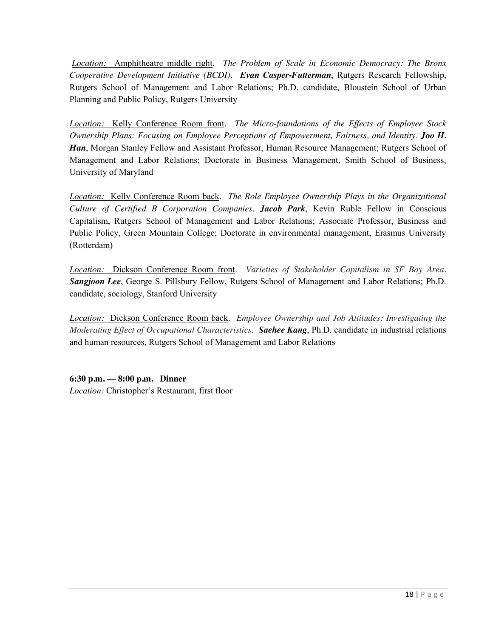*Location:* Amphitheatre middle right. *The Problem of Scale in Economic Democracy: The Bronx Cooperative Development Initiative (BCDI). Evan Casper-Futterman*, Rutgers Research Fellowship, Rutgers School of Management and Labor Relations; Ph.D. candidate, Bloustein School of Urban Planning and Public Policy, Rutgers University

*Location:* Kelly Conference Room front. *The Micro-foundations of the Effects of Employee Stock Ownership Plans: Focusing on Employee Perceptions of Empowerment, Fairness, and Identity*. *Joo H. Han*, Morgan Stanley Fellow and Assistant Professor, Human Resource Management; Rutgers School of Management and Labor Relations; Doctorate in Business Management, Smith School of Business, University of Maryland

*Location:* Kelly Conference Room back. *The Role Employee Ownership Plays in the Organizational Culture of Certified B Corporation Companies*. *Jacob Park*, Kevin Ruble Fellow in Conscious Capitalism, Rutgers School of Management and Labor Relations; Associate Professor, Business and Public Policy, Green Mountain College; Doctorate in environmental management, Erasmus University (Rotterdam)

*Location:* Dickson Conference Room front. *Varieties of Stakeholder Capitalism in SF Bay Area. Sangjoon Lee*, George S. Pillsbury Fellow, Rutgers School of Management and Labor Relations; Ph.D. candidate, sociology, Stanford University

*Location:* Dickson Conference Room back. *Employee Ownership and Job Attitudes: Investigating the Moderating Effect of Occupational Characteristics*. *Saehee Kang*, Ph.D. candidate in industrial relations and human resources, Rutgers School of Management and Labor Relations

**6:30 p.m. — 8:00 p.m. Dinner** *Location:* Christopher's Restaurant, first floor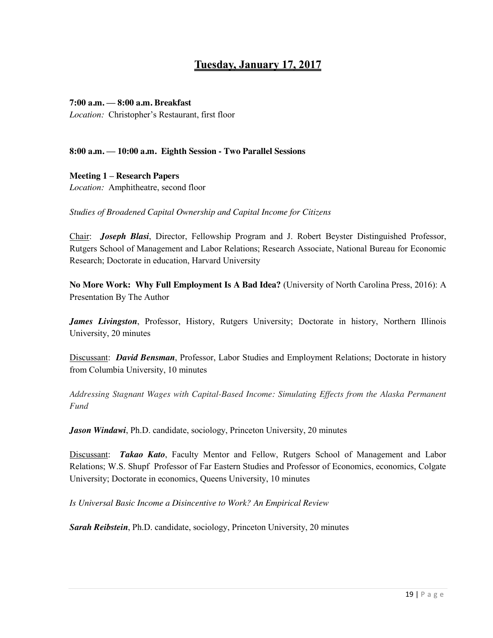# **Tuesday, January 17, 2017**

#### **7:00 a.m. — 8:00 a.m. Breakfast**

*Location:* Christopher's Restaurant, first floor

#### **8:00 a.m. — 10:00 a.m. Eighth Session - Two Parallel Sessions**

**Meeting 1 – Research Papers** *Location:* Amphitheatre, second floor

*Studies of Broadened Capital Ownership and Capital Income for Citizens*

Chair: *Joseph Blasi*, Director, Fellowship Program and J. Robert Beyster Distinguished Professor, Rutgers School of Management and Labor Relations; Research Associate, National Bureau for Economic Research; Doctorate in education, Harvard University

**No More Work: Why Full Employment Is A Bad Idea?** (University of North Carolina Press, 2016): A Presentation By The Author

*James Livingston*, Professor, History, Rutgers University; Doctorate in history, Northern Illinois University, 20 minutes

Discussant: *David Bensman*, Professor, Labor Studies and Employment Relations; Doctorate in history from Columbia University, 10 minutes

*Addressing Stagnant Wages with Capital-Based Income: Simulating Effects from the Alaska Permanent Fund*

*Jason Windawi*, Ph.D. candidate, sociology, Princeton University, 20 minutes

Discussant: *Takao Kato*, Faculty Mentor and Fellow, Rutgers School of Management and Labor Relations; W.S. Shupf Professor of Far Eastern Studies and Professor of Economics, economics, Colgate University; Doctorate in economics, Queens University, 10 minutes

*Is Universal Basic Income a Disincentive to Work? An Empirical Review* 

*Sarah Reibstein*, Ph.D. candidate, sociology, Princeton University, 20 minutes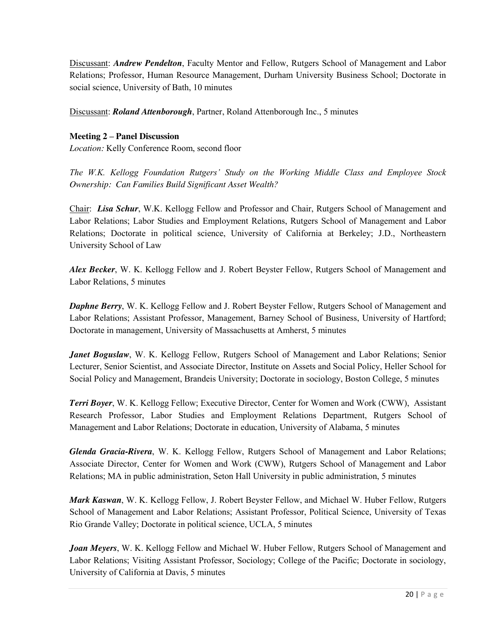Discussant: *Andrew Pendelton*, Faculty Mentor and Fellow, Rutgers School of Management and Labor Relations; Professor, Human Resource Management, Durham University Business School; Doctorate in social science, University of Bath, 10 minutes

Discussant: *Roland Attenborough*, Partner, Roland Attenborough Inc., 5 minutes

## **Meeting 2 – Panel Discussion**

*Location:* Kelly Conference Room, second floor

*The W.K. Kellogg Foundation Rutgers' Study on the Working Middle Class and Employee Stock Ownership: Can Families Build Significant Asset Wealth?*

Chair: *Lisa Schur*, W.K. Kellogg Fellow and Professor and Chair, Rutgers School of Management and Labor Relations; Labor Studies and Employment Relations, Rutgers School of Management and Labor Relations; Doctorate in political science, University of California at Berkeley; J.D., Northeastern University School of Law

*Alex Becker*, W. K. Kellogg Fellow and J. Robert Beyster Fellow, Rutgers School of Management and Labor Relations, 5 minutes

*Daphne Berry*, W. K. Kellogg Fellow and J. Robert Beyster Fellow, Rutgers School of Management and Labor Relations; Assistant Professor, Management, Barney School of Business, University of Hartford; Doctorate in management, University of Massachusetts at Amherst, 5 minutes

*Janet Boguslaw*, W. K. Kellogg Fellow, Rutgers School of Management and Labor Relations; Senior Lecturer, Senior Scientist, and Associate Director, Institute on Assets and Social Policy, Heller School for Social Policy and Management, Brandeis University; Doctorate in sociology, Boston College, 5 minutes

*Terri Boyer*, W. K. Kellogg Fellow; Executive Director, Center for Women and Work (CWW), Assistant Research Professor, Labor Studies and Employment Relations Department, Rutgers School of Management and Labor Relations; Doctorate in education, University of Alabama, 5 minutes

*Glenda Gracia-Rivera*, W. K. Kellogg Fellow, Rutgers School of Management and Labor Relations; Associate Director, Center for Women and Work (CWW), Rutgers School of Management and Labor Relations; MA in public administration, Seton Hall University in public administration, 5 minutes

*Mark Kaswan*, W. K. Kellogg Fellow, J. Robert Beyster Fellow, and Michael W. Huber Fellow, Rutgers School of Management and Labor Relations; Assistant Professor, Political Science, University of Texas Rio Grande Valley; Doctorate in political science, UCLA, 5 minutes

*Joan Meyers*, W. K. Kellogg Fellow and Michael W. Huber Fellow, Rutgers School of Management and Labor Relations; Visiting Assistant Professor, Sociology; College of the Pacific; Doctorate in sociology, University of California at Davis, 5 minutes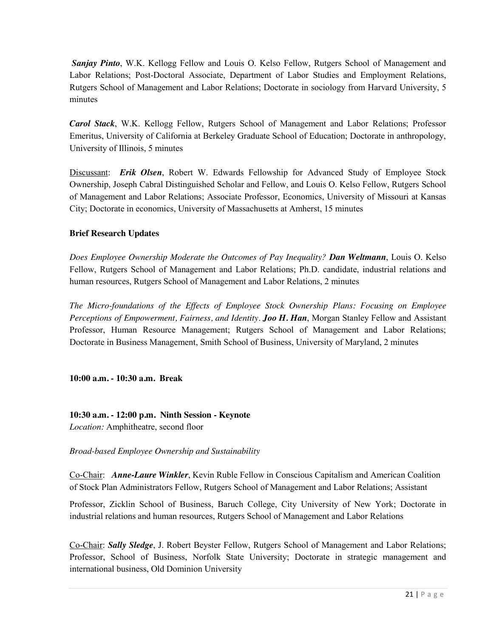*Sanjay Pinto*, W.K. Kellogg Fellow and Louis O. Kelso Fellow, Rutgers School of Management and Labor Relations; Post-Doctoral Associate, Department of Labor Studies and Employment Relations, Rutgers School of Management and Labor Relations; Doctorate in sociology from Harvard University, 5 minutes

*Carol Stack*, W.K. Kellogg Fellow, Rutgers School of Management and Labor Relations; Professor Emeritus, University of California at Berkeley Graduate School of Education; Doctorate in anthropology, University of Illinois, 5 minutes

Discussant: *Erik Olsen*, Robert W. Edwards Fellowship for Advanced Study of Employee Stock Ownership, Joseph Cabral Distinguished Scholar and Fellow, and Louis O. Kelso Fellow, Rutgers School of Management and Labor Relations; Associate Professor, Economics, University of Missouri at Kansas City; Doctorate in economics, University of Massachusetts at Amherst, 15 minutes

## **Brief Research Updates**

*Does Employee Ownership Moderate the Outcomes of Pay Inequality? Dan Weltmann*, Louis O. Kelso Fellow, Rutgers School of Management and Labor Relations; Ph.D. candidate, industrial relations and human resources, Rutgers School of Management and Labor Relations, 2 minutes

*The Micro-foundations of the Effects of Employee Stock Ownership Plans: Focusing on Employee Perceptions of Empowerment, Fairness, and Identity*. *Joo H. Han*, Morgan Stanley Fellow and Assistant Professor, Human Resource Management; Rutgers School of Management and Labor Relations; Doctorate in Business Management, Smith School of Business, University of Maryland, 2 minutes

**10:00 a.m. - 10:30 a.m. Break**

**10:30 a.m. - 12:00 p.m. Ninth Session - Keynote** *Location:* Amphitheatre, second floor

*Broad-based Employee Ownership and Sustainability*

Co-Chair: *Anne-Laure Winkler*, Kevin Ruble Fellow in Conscious Capitalism and American Coalition of Stock Plan Administrators Fellow, Rutgers School of Management and Labor Relations; Assistant

Professor, Zicklin School of Business, Baruch College, City University of New York; Doctorate in industrial relations and human resources, Rutgers School of Management and Labor Relations

Co-Chair: *Sally Sledge*, J. Robert Beyster Fellow, Rutgers School of Management and Labor Relations; Professor, School of Business, Norfolk State University; Doctorate in strategic management and international business, Old Dominion University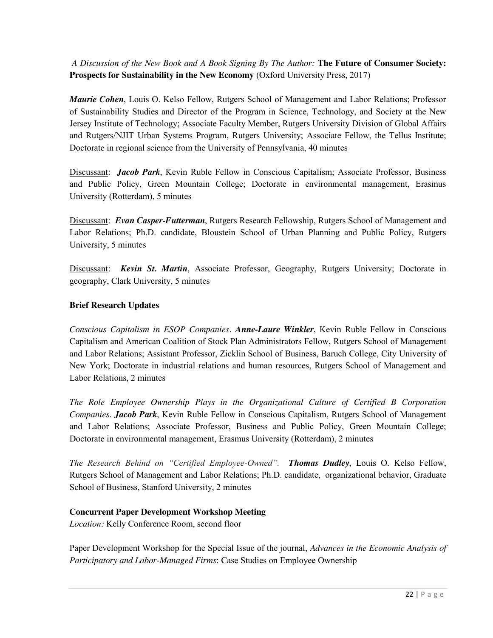*A Discussion of the New Book and A Book Signing By The Author:* **The Future of Consumer Society: Prospects for Sustainability in the New Economy** (Oxford University Press, 2017)

*Maurie Cohen*, Louis O. Kelso Fellow, Rutgers School of Management and Labor Relations; Professor of Sustainability Studies and Director of the Program in Science, Technology, and Society at the New Jersey Institute of Technology; Associate Faculty Member, Rutgers University Division of Global Affairs and Rutgers/NJIT Urban Systems Program, Rutgers University; Associate Fellow, the Tellus Institute; Doctorate in regional science from the University of Pennsylvania, 40 minutes

Discussant: *Jacob Park*, Kevin Ruble Fellow in Conscious Capitalism; Associate Professor, Business and Public Policy, Green Mountain College; Doctorate in environmental management, Erasmus University (Rotterdam), 5 minutes

Discussant: *Evan Casper-Futterman*, Rutgers Research Fellowship, Rutgers School of Management and Labor Relations; Ph.D. candidate, Bloustein School of Urban Planning and Public Policy, Rutgers University, 5 minutes

Discussant: *Kevin St. Martin*, Associate Professor, Geography, Rutgers University; Doctorate in geography, Clark University, 5 minutes

## **Brief Research Updates**

*Conscious Capitalism in ESOP Companies*. *Anne-Laure Winkler*, Kevin Ruble Fellow in Conscious Capitalism and American Coalition of Stock Plan Administrators Fellow, Rutgers School of Management and Labor Relations; Assistant Professor, Zicklin School of Business, Baruch College, City University of New York; Doctorate in industrial relations and human resources, Rutgers School of Management and Labor Relations, 2 minutes

*The Role Employee Ownership Plays in the Organizational Culture of Certified B Corporation Companies*. *Jacob Park*, Kevin Ruble Fellow in Conscious Capitalism, Rutgers School of Management and Labor Relations; Associate Professor, Business and Public Policy, Green Mountain College; Doctorate in environmental management, Erasmus University (Rotterdam), 2 minutes

*The Research Behind on "Certified Employee-Owned". Thomas Dudley*, Louis O. Kelso Fellow, Rutgers School of Management and Labor Relations; Ph.D. candidate, organizational behavior, Graduate School of Business, Stanford University, 2 minutes

## **Concurrent Paper Development Workshop Meeting**

*Location:* Kelly Conference Room, second floor

Paper Development Workshop for the Special Issue of the journal, *Advances in the Economic Analysis of Participatory and Labor-Managed Firms*: Case Studies on Employee Ownership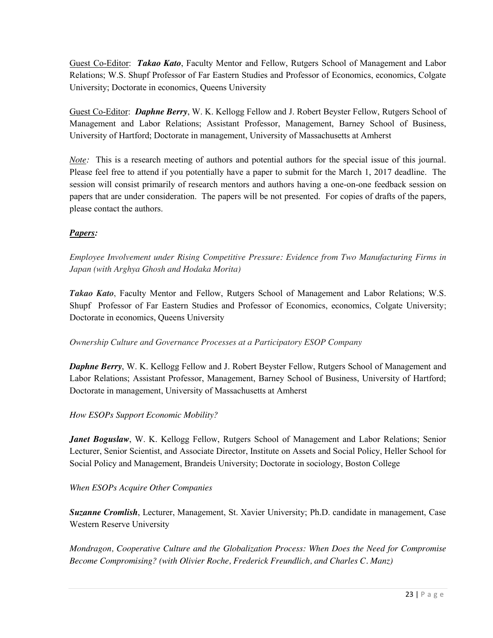Guest Co-Editor: *Takao Kato*, Faculty Mentor and Fellow, Rutgers School of Management and Labor Relations; W.S. Shupf Professor of Far Eastern Studies and Professor of Economics, economics, Colgate University; Doctorate in economics, Queens University

Guest Co-Editor: *Daphne Berry*, W. K. Kellogg Fellow and J. Robert Beyster Fellow, Rutgers School of Management and Labor Relations; Assistant Professor, Management, Barney School of Business, University of Hartford; Doctorate in management, University of Massachusetts at Amherst

*Note:* This is a research meeting of authors and potential authors for the special issue of this journal. Please feel free to attend if you potentially have a paper to submit for the March 1, 2017 deadline. The session will consist primarily of research mentors and authors having a one-on-one feedback session on papers that are under consideration. The papers will be not presented. For copies of drafts of the papers, please contact the authors.

## *Papers:*

*Employee Involvement under Rising Competitive Pressure: Evidence from Two Manufacturing Firms in Japan (with Arghya Ghosh and Hodaka Morita)*

*Takao Kato*, Faculty Mentor and Fellow, Rutgers School of Management and Labor Relations; W.S. Shupf Professor of Far Eastern Studies and Professor of Economics, economics, Colgate University; Doctorate in economics, Queens University

*Ownership Culture and Governance Processes at a Participatory ESOP Company*

*Daphne Berry*, W. K. Kellogg Fellow and J. Robert Beyster Fellow, Rutgers School of Management and Labor Relations; Assistant Professor, Management, Barney School of Business, University of Hartford; Doctorate in management, University of Massachusetts at Amherst

*How ESOPs Support Economic Mobility?*

*Janet Boguslaw*, W. K. Kellogg Fellow, Rutgers School of Management and Labor Relations; Senior Lecturer, Senior Scientist, and Associate Director, Institute on Assets and Social Policy, Heller School for Social Policy and Management, Brandeis University; Doctorate in sociology, Boston College

## *When ESOPs Acquire Other Companies*

*Suzanne Cromlish*, Lecturer, Management, St. Xavier University; Ph.D. candidate in management, Case Western Reserve University

*Mondragon, Cooperative Culture and the Globalization Process: When Does the Need for Compromise Become Compromising? (with Olivier Roche, Frederick Freundlich, and Charles C. Manz)*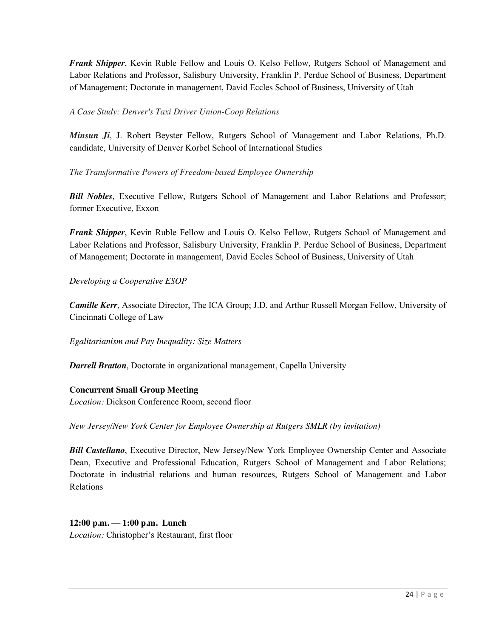*Frank Shipper*, Kevin Ruble Fellow and Louis O. Kelso Fellow, Rutgers School of Management and Labor Relations and Professor, Salisbury University, Franklin P. Perdue School of Business, Department of Management; Doctorate in management, David Eccles School of Business, University of Utah

## *A Case Study: Denver's Taxi Driver Union-Coop Relations*

*Minsun Ji*, J. Robert Beyster Fellow, Rutgers School of Management and Labor Relations, Ph.D. candidate, University of Denver Korbel School of International Studies

*The Transformative Powers of Freedom-based Employee Ownership*

*Bill Nobles*, Executive Fellow, Rutgers School of Management and Labor Relations and Professor; former Executive, Exxon

*Frank Shipper*, Kevin Ruble Fellow and Louis O. Kelso Fellow, Rutgers School of Management and Labor Relations and Professor, Salisbury University, Franklin P. Perdue School of Business, Department of Management; Doctorate in management, David Eccles School of Business, University of Utah

*Developing a Cooperative ESOP*

*Camille Kerr*, Associate Director, The ICA Group; J.D. and Arthur Russell Morgan Fellow, University of Cincinnati College of Law

*Egalitarianism and Pay Inequality: Size Matters*

*Darrell Bratton*, Doctorate in organizational management, Capella University

#### **Concurrent Small Group Meeting**

*Location:* Dickson Conference Room, second floor

*New Jersey/New York Center for Employee Ownership at Rutgers SMLR (by invitation)*

*Bill Castellano*, Executive Director, New Jersey/New York Employee Ownership Center and Associate Dean, Executive and Professional Education, Rutgers School of Management and Labor Relations; Doctorate in industrial relations and human resources, Rutgers School of Management and Labor Relations

**12:00 p.m. — 1:00 p.m. Lunch**  *Location:* Christopher's Restaurant, first floor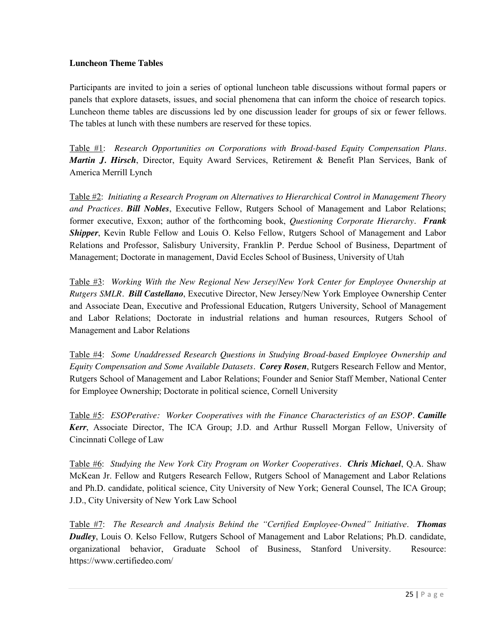#### **Luncheon Theme Tables**

Participants are invited to join a series of optional luncheon table discussions without formal papers or panels that explore datasets, issues, and social phenomena that can inform the choice of research topics. Luncheon theme tables are discussions led by one discussion leader for groups of six or fewer fellows. The tables at lunch with these numbers are reserved for these topics.

Table #1: *Research Opportunities on Corporations with Broad-based Equity Compensation Plans. Martin J. Hirsch*, Director, Equity Award Services, Retirement & Benefit Plan Services, Bank of America Merrill Lynch

Table #2: *Initiating a Research Program on Alternatives to Hierarchical Control in Management Theory and Practices. Bill Nobles*, Executive Fellow, Rutgers School of Management and Labor Relations; former executive, Exxon; author of the forthcoming book, *Questioning Corporate Hierarchy. Frank Shipper*, Kevin Ruble Fellow and Louis O. Kelso Fellow, Rutgers School of Management and Labor Relations and Professor, Salisbury University, Franklin P. Perdue School of Business, Department of Management; Doctorate in management, David Eccles School of Business, University of Utah

Table #3: *Working With the New Regional New Jersey/New York Center for Employee Ownership at Rutgers SMLR. Bill Castellano*, Executive Director, New Jersey/New York Employee Ownership Center and Associate Dean, Executive and Professional Education, Rutgers University, School of Management and Labor Relations; Doctorate in industrial relations and human resources, Rutgers School of Management and Labor Relations

Table #4: *Some Unaddressed Research Questions in Studying Broad-based Employee Ownership and Equity Compensation and Some Available Datasets. Corey Rosen*, Rutgers Research Fellow and Mentor, Rutgers School of Management and Labor Relations; Founder and Senior Staff Member, National Center for Employee Ownership; Doctorate in political science, Cornell University

Table #5: *ESOPerative: Worker Cooperatives with the Finance Characteristics of an ESOP. Camille Kerr*, Associate Director, The ICA Group; J.D. and Arthur Russell Morgan Fellow, University of Cincinnati College of Law

Table #6: *Studying the New York City Program on Worker Cooperatives. Chris Michael*, Q.A. Shaw McKean Jr. Fellow and Rutgers Research Fellow, Rutgers School of Management and Labor Relations and Ph.D. candidate, political science, City University of New York; General Counsel, The ICA Group; J.D., City University of New York Law School

Table #7: *The Research and Analysis Behind the "Certified Employee-Owned" Initiative*. *Thomas Dudley*, Louis O. Kelso Fellow, Rutgers School of Management and Labor Relations; Ph.D. candidate, organizational behavior, Graduate School of Business, Stanford University. Resource: https://www.certifiedeo.com/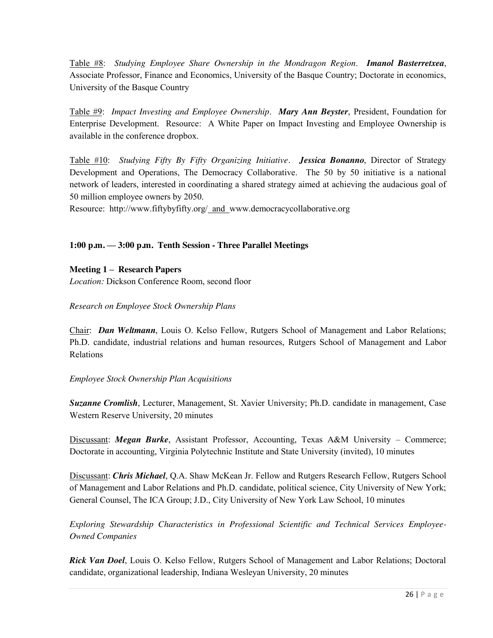Table #8: *Studying Employee Share Ownership in the Mondragon Region*. *Imanol Basterretxea*, Associate Professor, Finance and Economics, University of the Basque Country; Doctorate in economics, University of the Basque Country

Table #9: *Impact Investing and Employee Ownership*. *Mary Ann Beyster*, President, Foundation for Enterprise Development. Resource: A White Paper on Impact Investing and Employee Ownership is available in the conference dropbox.

Table #10: *Studying Fifty By Fifty Organizing Initiative. Jessica Bonanno*, Director of Strategy Development and Operations, The Democracy Collaborative. The 50 by 50 initiative is a national network of leaders, interested in coordinating a shared strategy aimed at achieving the audacious goal of 50 million employee owners by 2050.

Resource: http://www.fiftybyfifty.org/ and www.democracycollaborative.org

## **1:00 p.m. — 3:00 p.m. Tenth Session - Three Parallel Meetings**

**Meeting 1 – Research Papers**

*Location:* Dickson Conference Room, second floor

## *Research on Employee Stock Ownership Plans*

Chair:*Dan Weltmann*, Louis O. Kelso Fellow, Rutgers School of Management and Labor Relations; Ph.D. candidate, industrial relations and human resources, Rutgers School of Management and Labor Relations

## *Employee Stock Ownership Plan Acquisitions*

*Suzanne Cromlish*, Lecturer, Management, St. Xavier University; Ph.D. candidate in management, Case Western Reserve University, 20 minutes

Discussant: *Megan Burke*, Assistant Professor, Accounting, Texas A&M University – Commerce; Doctorate in accounting, Virginia Polytechnic Institute and State University (invited), 10 minutes

Discussant: *Chris Michael*, Q.A. Shaw McKean Jr. Fellow and Rutgers Research Fellow, Rutgers School of Management and Labor Relations and Ph.D. candidate, political science, City University of New York; General Counsel, The ICA Group; J.D., City University of New York Law School, 10 minutes

*Exploring Stewardship Characteristics in Professional Scientific and Technical Services Employee-Owned Companies*

*Rick Van Doel*, Louis O. Kelso Fellow, Rutgers School of Management and Labor Relations; Doctoral candidate, organizational leadership, Indiana Wesleyan University, 20 minutes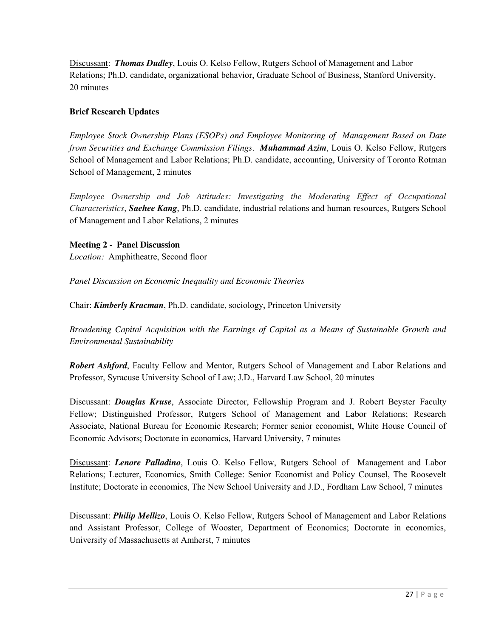Discussant: *Thomas Dudley*, Louis O. Kelso Fellow, Rutgers School of Management and Labor Relations; Ph.D. candidate, organizational behavior, Graduate School of Business, Stanford University, 20 minutes

## **Brief Research Updates**

*Employee Stock Ownership Plans (ESOPs) and Employee Monitoring of Management Based on Date from Securities and Exchange Commission Filings. Muhammad Azim*, Louis O. Kelso Fellow, Rutgers School of Management and Labor Relations; Ph.D. candidate, accounting, University of Toronto Rotman School of Management, 2 minutes

*Employee Ownership and Job Attitudes: Investigating the Moderating Effect of Occupational Characteristics*, *Saehee Kang*, Ph.D. candidate, industrial relations and human resources, Rutgers School of Management and Labor Relations, 2 minutes

## **Meeting 2 - Panel Discussion**

*Location:*Amphitheatre, Second floor

*Panel Discussion on Economic Inequality and Economic Theories*

Chair: *Kimberly Kracman*, Ph.D. candidate, sociology, Princeton University

*Broadening Capital Acquisition with the Earnings of Capital as a Means of Sustainable Growth and Environmental Sustainability*

*Robert Ashford*, Faculty Fellow and Mentor, Rutgers School of Management and Labor Relations and Professor, Syracuse University School of Law; J.D., Harvard Law School, 20 minutes

Discussant: *Douglas Kruse*, Associate Director, Fellowship Program and J. Robert Beyster Faculty Fellow; Distinguished Professor, Rutgers School of Management and Labor Relations; Research Associate, National Bureau for Economic Research; Former senior economist, White House Council of Economic Advisors; Doctorate in economics, Harvard University, 7 minutes

Discussant: *Lenore Palladino*, Louis O. Kelso Fellow, Rutgers School of Management and Labor Relations; Lecturer, Economics, Smith College: Senior Economist and Policy Counsel, The Roosevelt Institute; Doctorate in economics, The New School University and J.D., Fordham Law School, 7 minutes

Discussant: *Philip Mellizo*, Louis O. Kelso Fellow, Rutgers School of Management and Labor Relations and Assistant Professor, College of Wooster, Department of Economics; Doctorate in economics, University of Massachusetts at Amherst, 7 minutes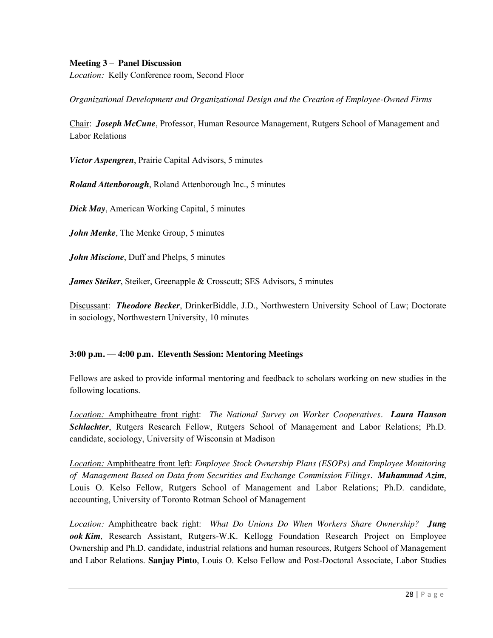#### **Meeting 3 – Panel Discussion**

*Location:*Kelly Conference room, Second Floor

*Organizational Development and Organizational Design and the Creation of Employee-Owned Firms*

Chair: *Joseph McCune*, Professor, Human Resource Management, Rutgers School of Management and Labor Relations

*Victor Aspengren*, Prairie Capital Advisors, 5 minutes

*Roland Attenborough*, Roland Attenborough Inc., 5 minutes

*Dick May*, American Working Capital, 5 minutes

*John Menke*, The Menke Group, 5 minutes

*John Miscione*, Duff and Phelps, 5 minutes

*James Steiker*, Steiker, Greenapple & Crosscutt; SES Advisors, 5 minutes

Discussant: *Theodore Becker*, DrinkerBiddle, J.D., Northwestern University School of Law; Doctorate in sociology, Northwestern University, 10 minutes

#### **3:00 p.m. — 4:00 p.m. Eleventh Session: Mentoring Meetings**

Fellows are asked to provide informal mentoring and feedback to scholars working on new studies in the following locations.

*Location:* Amphitheatre front right: *The National Survey on Worker Cooperatives. Laura Hanson Schlachter*, Rutgers Research Fellow, Rutgers School of Management and Labor Relations; Ph.D. candidate, sociology, University of Wisconsin at Madison

*Location:* Amphitheatre front left: *Employee Stock Ownership Plans (ESOPs) and Employee Monitoring of Management Based on Data from Securities and Exchange Commission Filings. Muhammad Azim*, Louis O. Kelso Fellow, Rutgers School of Management and Labor Relations; Ph.D. candidate, accounting, University of Toronto Rotman School of Management

*Location:* Amphitheatre back right: *What Do Unions Do When Workers Share Ownership? Jung ook Kim*, Research Assistant, Rutgers-W.K. Kellogg Foundation Research Project on Employee Ownership and Ph.D. candidate, industrial relations and human resources, Rutgers School of Management and Labor Relations. **Sanjay Pinto**, Louis O. Kelso Fellow and Post-Doctoral Associate, Labor Studies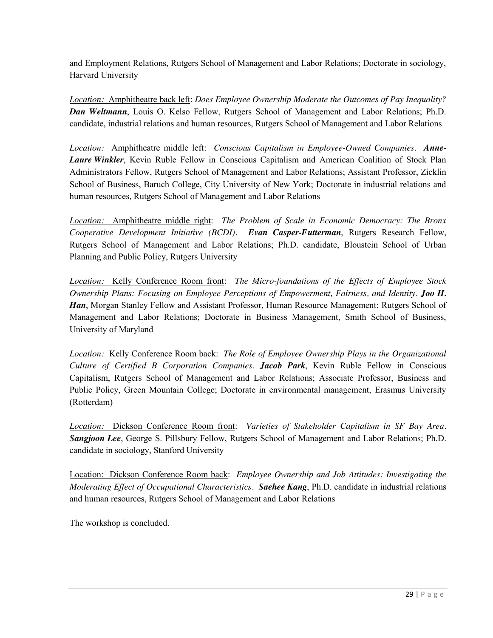and Employment Relations, Rutgers School of Management and Labor Relations; Doctorate in sociology, Harvard University

*Location:* Amphitheatre back left: *Does Employee Ownership Moderate the Outcomes of Pay Inequality? Dan Weltmann*, Louis O. Kelso Fellow, Rutgers School of Management and Labor Relations; Ph.D. candidate, industrial relations and human resources, Rutgers School of Management and Labor Relations

*Location:* Amphitheatre middle left: *Conscious Capitalism in Employee-Owned Companies. Anne-Laure Winkler*, Kevin Ruble Fellow in Conscious Capitalism and American Coalition of Stock Plan Administrators Fellow, Rutgers School of Management and Labor Relations; Assistant Professor, Zicklin School of Business, Baruch College, City University of New York; Doctorate in industrial relations and human resources, Rutgers School of Management and Labor Relations

*Location:* Amphitheatre middle right: *The Problem of Scale in Economic Democracy: The Bronx Cooperative Development Initiative (BCDI). Evan Casper-Futterman*, Rutgers Research Fellow, Rutgers School of Management and Labor Relations; Ph.D. candidate, Bloustein School of Urban Planning and Public Policy, Rutgers University

*Location:* Kelly Conference Room front: *The Micro-foundations of the Effects of Employee Stock Ownership Plans: Focusing on Employee Perceptions of Empowerment, Fairness, and Identity*. *Joo H.*  Han, Morgan Stanley Fellow and Assistant Professor, Human Resource Management; Rutgers School of Management and Labor Relations; Doctorate in Business Management, Smith School of Business, University of Maryland

*Location:* Kelly Conference Room back: *The Role of Employee Ownership Plays in the Organizational Culture of Certified B Corporation Companies. Jacob Park*, Kevin Ruble Fellow in Conscious Capitalism, Rutgers School of Management and Labor Relations; Associate Professor, Business and Public Policy, Green Mountain College; Doctorate in environmental management, Erasmus University (Rotterdam)

*Location:* Dickson Conference Room front: *Varieties of Stakeholder Capitalism in SF Bay Area. Sangjoon Lee*, George S. Pillsbury Fellow, Rutgers School of Management and Labor Relations; Ph.D. candidate in sociology, Stanford University

Location: Dickson Conference Room back: *Employee Ownership and Job Attitudes: Investigating the Moderating Effect of Occupational Characteristics. Saehee Kang*, Ph.D. candidate in industrial relations and human resources, Rutgers School of Management and Labor Relations

The workshop is concluded.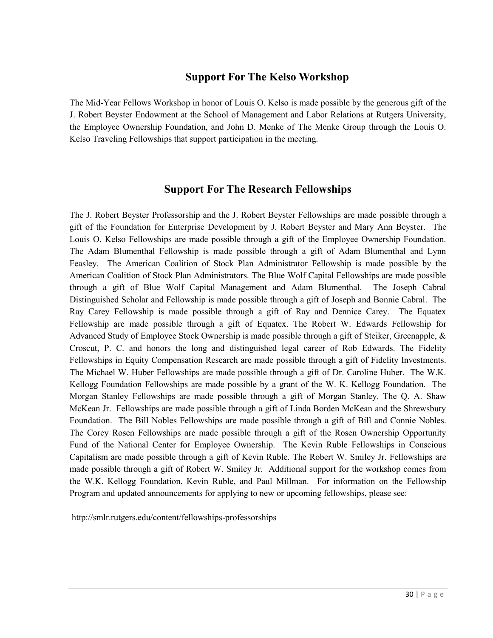# **Support For The Kelso Workshop**

The Mid-Year Fellows Workshop in honor of Louis O. Kelso is made possible by the generous gift of the J. Robert Beyster Endowment at the School of Management and Labor Relations at Rutgers University, the Employee Ownership Foundation, and John D. Menke of The Menke Group through the Louis O. Kelso Traveling Fellowships that support participation in the meeting.

## **Support For The Research Fellowships**

The J. Robert Beyster Professorship and the J. Robert Beyster Fellowships are made possible through a gift of the Foundation for Enterprise Development by J. Robert Beyster and Mary Ann Beyster. The Louis O. Kelso Fellowships are made possible through a gift of the Employee Ownership Foundation. The Adam Blumenthal Fellowship is made possible through a gift of Adam Blumenthal and Lynn Feasley. The American Coalition of Stock Plan Administrator Fellowship is made possible by the American Coalition of Stock Plan Administrators. The Blue Wolf Capital Fellowships are made possible through a gift of Blue Wolf Capital Management and Adam Blumenthal. The Joseph Cabral Distinguished Scholar and Fellowship is made possible through a gift of Joseph and Bonnie Cabral. The Ray Carey Fellowship is made possible through a gift of Ray and Dennice Carey. The Equatex Fellowship are made possible through a gift of Equatex. The Robert W. Edwards Fellowship for Advanced Study of Employee Stock Ownership is made possible through a gift of Steiker, Greenapple, & Croscut, P. C. and honors the long and distinguished legal career of Rob Edwards. The Fidelity Fellowships in Equity Compensation Research are made possible through a gift of Fidelity Investments. The Michael W. Huber Fellowships are made possible through a gift of Dr. Caroline Huber. The W.K. Kellogg Foundation Fellowships are made possible by a grant of the W. K. Kellogg Foundation. The Morgan Stanley Fellowships are made possible through a gift of Morgan Stanley. The Q. A. Shaw McKean Jr. Fellowships are made possible through a gift of Linda Borden McKean and the Shrewsbury Foundation. The Bill Nobles Fellowships are made possible through a gift of Bill and Connie Nobles. The Corey Rosen Fellowships are made possible through a gift of the Rosen Ownership Opportunity Fund of the National Center for Employee Ownership. The Kevin Ruble Fellowships in Conscious Capitalism are made possible through a gift of Kevin Ruble. The Robert W. Smiley Jr. Fellowships are made possible through a gift of Robert W. Smiley Jr. Additional support for the workshop comes from the W.K. Kellogg Foundation, Kevin Ruble, and Paul Millman. For information on the Fellowship Program and updated announcements for applying to new or upcoming fellowships, please see:

http://smlr.rutgers.edu/content/fellowships-professorships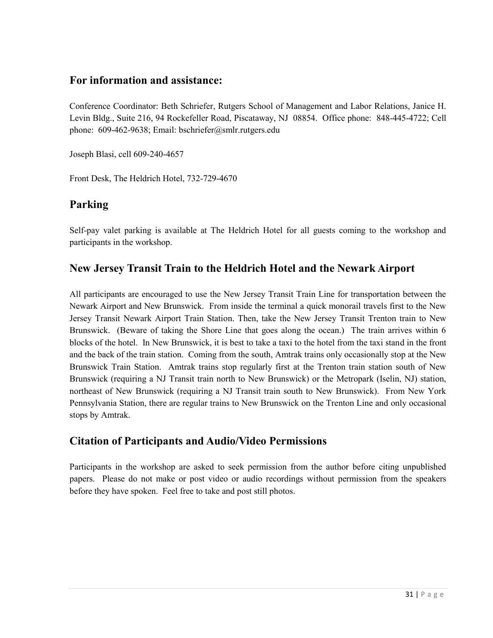## **For information and assistance:**

Conference Coordinator: Beth Schriefer, Rutgers School of Management and Labor Relations, Janice H. Levin Bldg., Suite 216, 94 Rockefeller Road, Piscataway, NJ 08854. Office phone: 848-445-4722; Cell phone: 609-462-9638; Email: bschriefer@smlr.rutgers.edu

Joseph Blasi, cell 609-240-4657

Front Desk, The Heldrich Hotel, 732-729-4670

# **Parking**

Self-pay valet parking is available at The Heldrich Hotel for all guests coming to the workshop and participants in the workshop.

# **New Jersey Transit Train to the Heldrich Hotel and the Newark Airport**

All participants are encouraged to use the New Jersey Transit Train Line for transportation between the Newark Airport and New Brunswick. From inside the terminal a quick monorail travels first to the New Jersey Transit Newark Airport Train Station. Then, take the New Jersey Transit Trenton train to New Brunswick. (Beware of taking the Shore Line that goes along the ocean.) The train arrives within 6 blocks of the hotel. In New Brunswick, it is best to take a taxi to the hotel from the taxi stand in the front and the back of the train station. Coming from the south, Amtrak trains only occasionally stop at the New Brunswick Train Station. Amtrak trains stop regularly first at the Trenton train station south of New Brunswick (requiring a NJ Transit train north to New Brunswick) or the Metropark (Iselin, NJ) station, northeast of New Brunswick (requiring a NJ Transit train south to New Brunswick). From New York Pennsylvania Station, there are regular trains to New Brunswick on the Trenton Line and only occasional stops by Amtrak.

# **Citation of Participants and Audio/Video Permissions**

Participants in the workshop are asked to seek permission from the author before citing unpublished papers. Please do not make or post video or audio recordings without permission from the speakers before they have spoken. Feel free to take and post still photos.